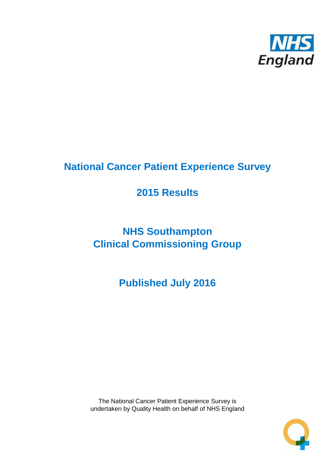

## **National Cancer Patient Experience Survey**

## **2015 Results**

# **NHS Southampton Clinical Commissioning Group**

**Published July 2016**

The National Cancer Patient Experience Survey is undertaken by Quality Health on behalf of NHS England

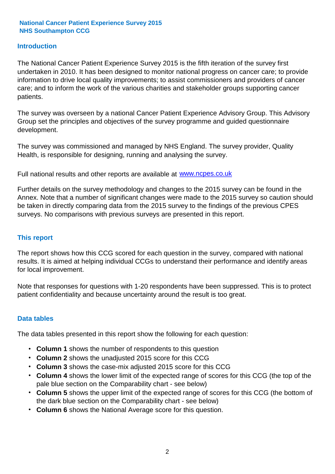## **Introduction**

The National Cancer Patient Experience Survey 2015 is the fifth iteration of the survey first undertaken in 2010. It has been designed to monitor national progress on cancer care; to provide information to drive local quality improvements; to assist commissioners and providers of cancer care; and to inform the work of the various charities and stakeholder groups supporting cancer patients.

The survey was overseen by a national Cancer Patient Experience Advisory Group. This Advisory Group set the principles and objectives of the survey programme and guided questionnaire development.

The survey was commissioned and managed by NHS England. The survey provider, Quality Health, is responsible for designing, running and analysing the survey.

Full national results and other reports are available at www.ncpes.co.uk

Further details on the survey methodology and changes to the 2015 survey can be found in the Annex. Note that a number of significant changes were made to the 2015 survey so caution should be taken in directly comparing data from the 2015 survey to the findings of the previous CPES surveys. No comparisons with previous surveys are presented in this report.

### **This report**

The report shows how this CCG scored for each question in the survey, compared with national results. It is aimed at helping individual CCGs to understand their performance and identify areas for local improvement.

Note that responses for questions with 1-20 respondents have been suppressed. This is to protect patient confidentiality and because uncertainty around the result is too great.

### **Data tables**

The data tables presented in this report show the following for each question:

- **Column 1** shows the number of respondents to this question
- **Column 2** shows the unadjusted 2015 score for this CCG
- **Column 3** shows the case-mix adjusted 2015 score for this CCG
- **Column 4** shows the lower limit of the expected range of scores for this CCG (the top of the pale blue section on the Comparability chart - see below)
- **Column 5** shows the upper limit of the expected range of scores for this CCG (the bottom of the dark blue section on the Comparability chart - see below)
- **Column 6** shows the National Average score for this question.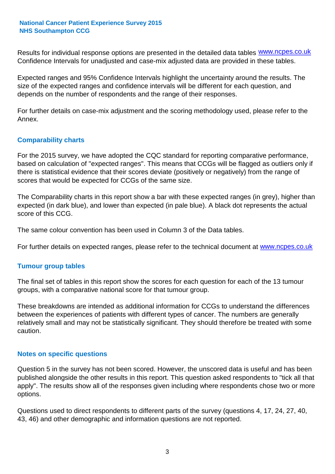Results for individual response options are presented in the detailed data tables **WWW.ncpes.co.uk** Confidence Intervals for unadjusted and case-mix adjusted data are provided in these tables.

Expected ranges and 95% Confidence Intervals highlight the uncertainty around the results. The size of the expected ranges and confidence intervals will be different for each question, and depends on the number of respondents and the range of their responses.

For further details on case-mix adjustment and the scoring methodology used, please refer to the Annex.

## **Comparability charts**

For the 2015 survey, we have adopted the CQC standard for reporting comparative performance, based on calculation of "expected ranges". This means that CCGs will be flagged as outliers only if there is statistical evidence that their scores deviate (positively or negatively) from the range of scores that would be expected for CCGs of the same size.

The Comparability charts in this report show a bar with these expected ranges (in grey), higher than expected (in dark blue), and lower than expected (in pale blue). A black dot represents the actual score of this CCG.

The same colour convention has been used in Column 3 of the Data tables.

For further details on expected ranges, please refer to the technical document at **www.ncpes.co.uk** 

### **Tumour group tables**

The final set of tables in this report show the scores for each question for each of the 13 tumour groups, with a comparative national score for that tumour group.

These breakdowns are intended as additional information for CCGs to understand the differences between the experiences of patients with different types of cancer. The numbers are generally relatively small and may not be statistically significant. They should therefore be treated with some caution.

### **Notes on specific questions**

Question 5 in the survey has not been scored. However, the unscored data is useful and has been published alongside the other results in this report. This question asked respondents to "tick all that apply". The results show all of the responses given including where respondents chose two or more options.

Questions used to direct respondents to different parts of the survey (questions 4, 17, 24, 27, 40, 43, 46) and other demographic and information questions are not reported.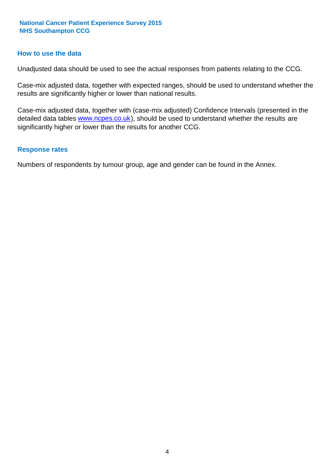### **How to use the data**

Unadjusted data should be used to see the actual responses from patients relating to the CCG.

Case-mix adjusted data, together with expected ranges, should be used to understand whether the results are significantly higher or lower than national results.

Case-mix adjusted data, together with (case-mix adjusted) Confidence Intervals (presented in the detailed data tables **www.ncpes.co.uk**), should be used to understand whether the results are significantly higher or lower than the results for another CCG.

#### **Response rates**

Numbers of respondents by tumour group, age and gender can be found in the Annex.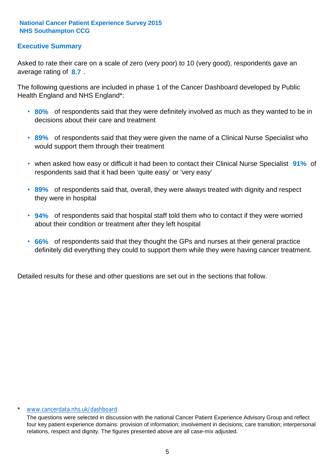## **Executive Summary**

average rating of 8.7. Asked to rate their care on a scale of zero (very poor) to 10 (very good), respondents gave an

The following questions are included in phase 1 of the Cancer Dashboard developed by Public Health England and NHS England\*:

- **80%** of respondents said that they were definitely involved as much as they wanted to be in decisions about their care and treatment
- **89%** of respondents said that they were given the name of a Clinical Nurse Specialist who would support them through their treatment
- when asked how easy or difficult it had been to contact their Clinical Nurse Specialist 91% of respondents said that it had been 'quite easy' or 'very easy'
- **89%** of respondents said that, overall, they were always treated with dignity and respect they were in hospital
- **94%** of respondents said that hospital staff told them who to contact if they were worried about their condition or treatment after they left hospital
- **66%** of respondents said that they thought the GPs and nurses at their general practice definitely did everything they could to support them while they were having cancer treatment.

Detailed results for these and other questions are set out in the sections that follow.

#### \* www.cancerdata.nhs.uk/dashboard

The questions were selected in discussion with the national Cancer Patient Experience Advisory Group and reflect four key patient experience domains: provision of information; involvement in decisions; care transition; interpersonal relations, respect and dignity. The figures presented above are all case-mix adjusted.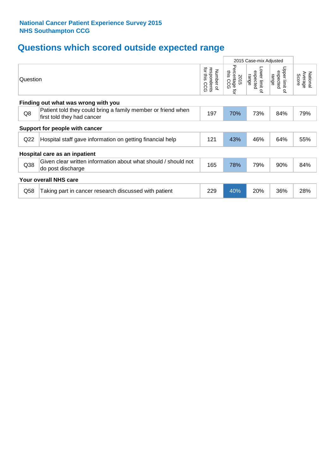## **Questions which scored outside expected range**

|     |                                                                                            |     |     |                                     | 2015 Case-mix Adjusted                |                              |  |  |  |  |
|-----|--------------------------------------------------------------------------------------------|-----|-----|-------------------------------------|---------------------------------------|------------------------------|--|--|--|--|
|     | Question                                                                                   |     |     | Lower limit of<br>expected<br>range | Upper limit<br>expected<br>range<br>٩ | Average<br>National<br>Score |  |  |  |  |
|     | Finding out what was wrong with you                                                        |     |     |                                     |                                       |                              |  |  |  |  |
| Q8  | Patient told they could bring a family member or friend when<br>first told they had cancer | 197 | 70% | 73%                                 | 84%                                   | 79%                          |  |  |  |  |
|     | Support for people with cancer                                                             |     |     |                                     |                                       |                              |  |  |  |  |
| Q22 | Hospital staff gave information on getting financial help                                  | 121 | 43% | 46%                                 | 64%                                   | 55%                          |  |  |  |  |
|     | Hospital care as an inpatient                                                              |     |     |                                     |                                       |                              |  |  |  |  |
| Q38 | Given clear written information about what should / should not<br>do post discharge        | 165 | 78% | 79%                                 | 90%                                   | 84%                          |  |  |  |  |
|     | <b>Your overall NHS care</b>                                                               |     |     |                                     |                                       |                              |  |  |  |  |
| Q58 | Taking part in cancer research discussed with patient                                      | 229 | 40% | 20%                                 | 36%                                   | 28%                          |  |  |  |  |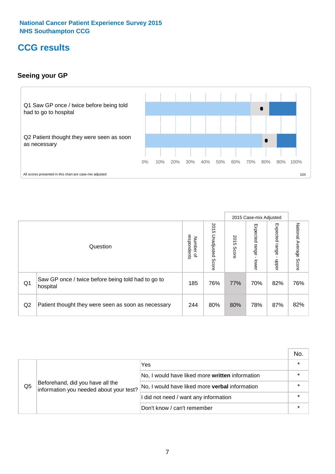## **CCG results**

## **Seeing your GP**



|    |                                                                |                                         |                             |               | 2015 Case-mix Adjusted     |                            |                           |
|----|----------------------------------------------------------------|-----------------------------------------|-----------------------------|---------------|----------------------------|----------------------------|---------------------------|
|    | Question                                                       | respondents<br>Number<br>$\overline{a}$ | 2015<br>Unadjusted<br>Score | 2015<br>Score | Expected<br>range<br>lower | Expected<br>range<br>nbber | National Average<br>Score |
| Q1 | Saw GP once / twice before being told had to go to<br>hospital | 185                                     | 76%                         | 77%           | 70%                        | 82%                        | 76%                       |
| Q2 | Patient thought they were seen as soon as necessary            | 244                                     | 80%                         | 80%           | 78%                        | 87%                        | 82%                       |

|    |                                                                             |                                                 | No. |
|----|-----------------------------------------------------------------------------|-------------------------------------------------|-----|
|    | Beforehand, did you have all the<br>information you needed about your test? | Yes                                             |     |
| Q5 |                                                                             | No, I would have liked more written information |     |
|    |                                                                             | No, I would have liked more verbal information  |     |
|    |                                                                             | I did not need / want any information           |     |
|    |                                                                             | Don't know / can't remember                     |     |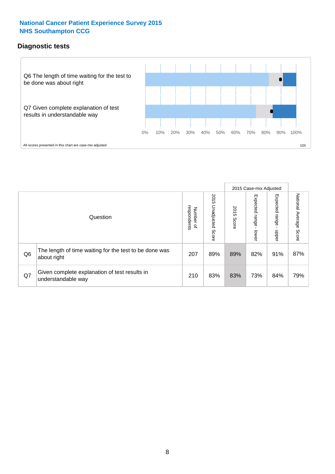## **Diagnostic tests**



|                |                                                                       |                          |                             |               | 2015 Case-mix Adjusted  |                         |                           |
|----------------|-----------------------------------------------------------------------|--------------------------|-----------------------------|---------------|-------------------------|-------------------------|---------------------------|
|                | Question                                                              | Number of<br>respondents | 2015<br>Unadjusted<br>Score | 2015<br>Score | Expected range<br>lower | Expected range<br>nbber | National Average<br>Score |
| Q <sub>6</sub> | The length of time waiting for the test to be done was<br>about right | 207                      | 89%                         | 89%           | 82%                     | 91%                     | 87%                       |
| Q7             | Given complete explanation of test results in<br>understandable way   | 210                      | 83%                         | 83%           | 73%                     | 84%                     | 79%                       |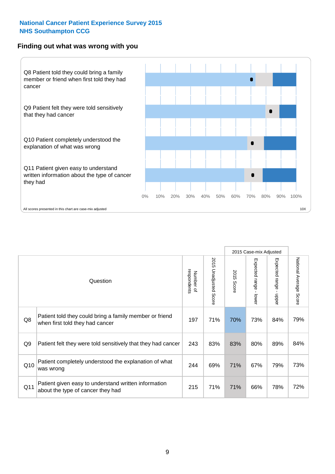### **Finding out what was wrong with you**



|                |                                                                                            |                          |                       |                      | 2015 Case-mix Adjusted                  |                           |                        |
|----------------|--------------------------------------------------------------------------------------------|--------------------------|-----------------------|----------------------|-----------------------------------------|---------------------------|------------------------|
|                | Question                                                                                   | respondents<br>Number of | 2015 Unadjusted Score | 2015<br><b>Score</b> | Expected range<br>$\mathbf{I}$<br>lower | Expected range -<br>hbber | National Average Score |
| Q8             | Patient told they could bring a family member or friend<br>when first told they had cancer | 197                      | 71%                   | 70%                  | 73%                                     | 84%                       | 79%                    |
| Q <sub>9</sub> | Patient felt they were told sensitively that they had cancer                               | 243                      | 83%                   | 83%                  | 80%                                     | 89%                       | 84%                    |
| Q10            | Patient completely understood the explanation of what<br>was wrong                         | 244                      | 69%                   | 71%                  | 67%                                     | 79%                       | 73%                    |
| Q11            | Patient given easy to understand written information<br>about the type of cancer they had  | 215                      | 71%                   | 71%                  | 66%                                     | 78%                       | 72%                    |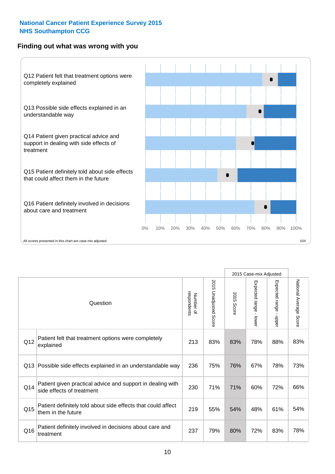## **Finding out what was wrong with you**



|     |                                                                                         |                          |                          |               |                                         | 2015 Case-mix Adjusted    |                        |
|-----|-----------------------------------------------------------------------------------------|--------------------------|--------------------------|---------------|-----------------------------------------|---------------------------|------------------------|
|     | Question                                                                                | Number of<br>respondents | 2015<br>Unadjusted Score | 2015<br>Score | Expected range<br>$\mathbf{I}$<br>lower | Expected range -<br>nbber | National Average Score |
| Q12 | Patient felt that treatment options were completely<br>explained                        | 213                      | 83%                      | 83%           | 78%                                     | 88%                       | 83%                    |
| Q13 | Possible side effects explained in an understandable way                                | 236                      | 75%                      | 76%           | 67%                                     | 78%                       | 73%                    |
| Q14 | Patient given practical advice and support in dealing with<br>side effects of treatment | 230                      | 71%                      | 71%           | 60%                                     | 72%                       | 66%                    |
| Q15 | Patient definitely told about side effects that could affect<br>them in the future      | 219                      | 55%                      | 54%           | 48%                                     | 61%                       | 54%                    |
| Q16 | Patient definitely involved in decisions about care and<br>treatment                    | 237                      | 79%                      | 80%           | 72%                                     | 83%                       | 78%                    |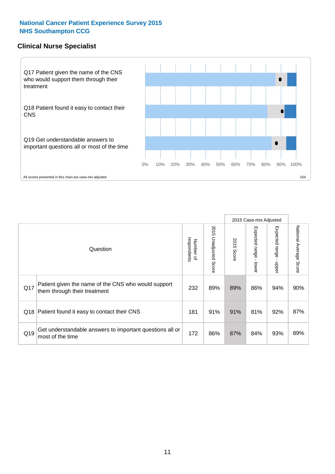## **Clinical Nurse Specialist**



|     |                                                                                     |                          |                       |               | 2015 Case-mix Adjusted  |                         |                                  |
|-----|-------------------------------------------------------------------------------------|--------------------------|-----------------------|---------------|-------------------------|-------------------------|----------------------------------|
|     | Question                                                                            | respondents<br>Number of | 2015 Unadjusted Score | 2015<br>Score | Expected range<br>lower | Expected range<br>nbber | National Average<br><b>Score</b> |
| Q17 | Patient given the name of the CNS who would support<br>them through their treatment | 232                      | 89%                   | 89%           | 86%                     | 94%                     | 90%                              |
| Q18 | Patient found it easy to contact their CNS                                          | 181                      | 91%                   | 91%           | 81%                     | 92%                     | 87%                              |
| Q19 | Get understandable answers to important questions all or<br>most of the time        | 172                      | 86%                   | 87%           | 84%                     | 93%                     | 89%                              |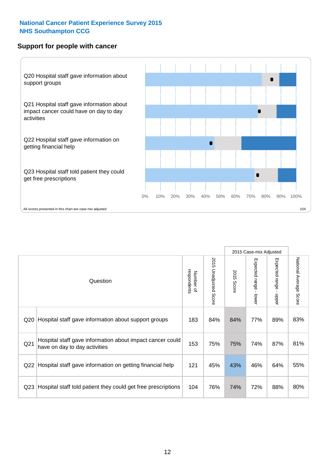## **Support for people with cancer**



2015 Case-mix Adjusted National Average Score 2015 Unadjusted Score Expected range - lower Expected range - upper National Average Score 2015 Unadjusted Score Expected range - upper Expected range - lower Number of<br>respondents respondents 2015 Score 2015 Score Number of Question Q20 Hospital staff gave information about support groups  $\begin{array}{|l|c|c|c|c|c|}\n\hline\n183 & 84\% & 84\% & 77\% & 89\% & 83\% \hline\n\end{array}$ Q21 153 75% 75% 74% 87% Hospital staff gave information about impact cancer could have on day to day activities but about impact cancer could<br>have on day to day activities Q22 Hospital staff gave information on getting financial help  $\left| 121 \right|$  45% 33% 46% 64% 55% Q23 Rospital staff told patient they could get free prescriptions |  $104$  |  $76\%$  |  $74\%$  |  $72\%$  |  $88\%$  |  $80\%$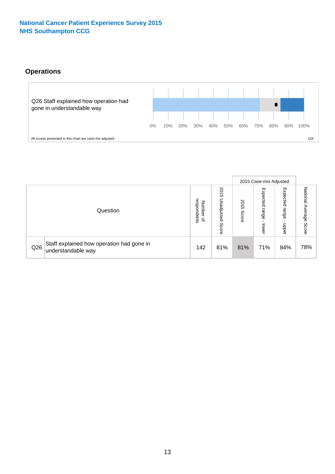## **Operations**



|     |                                                                 |                                         |                             |                    | 2015 Case-mix Adjusted     |                            |                              |
|-----|-----------------------------------------------------------------|-----------------------------------------|-----------------------------|--------------------|----------------------------|----------------------------|------------------------------|
|     | Question                                                        | respondents<br>Number<br>$\overline{a}$ | 2015<br>Unadjusted<br>Score | 201<br>CΠ<br>Score | Expected<br>range<br>lower | Expected<br>range<br>doper | National<br>Average<br>Score |
| Q26 | Staff explained how operation had gone in<br>understandable way | 142                                     | 81%                         | 81%                | 71%                        | 84%                        | 78%                          |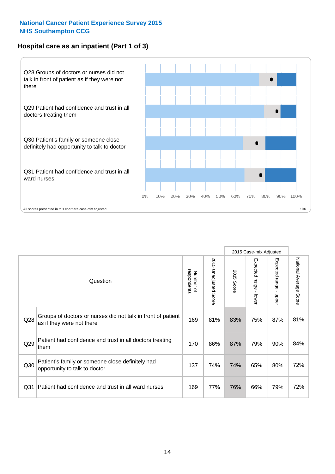## **Hospital care as an inpatient (Part 1 of 3)**



All scores presented in this chart are case-mix adjusted  $10X$ 

|                 |                                                                                           |                          |                       |                      | 2015 Case-mix Adjusted                    |                                           |                        |
|-----------------|-------------------------------------------------------------------------------------------|--------------------------|-----------------------|----------------------|-------------------------------------------|-------------------------------------------|------------------------|
|                 | Question                                                                                  | respondents<br>Number of | 2015 Unadjusted Score | 2015<br><b>Score</b> | Expected range<br>$\blacksquare$<br>lower | Expected range<br>$\blacksquare$<br>nbber | National Average Score |
| Q28             | Groups of doctors or nurses did not talk in front of patient<br>as if they were not there | 169                      | 81%                   | 83%                  | 75%                                       | 87%                                       | 81%                    |
| Q29             | Patient had confidence and trust in all doctors treating<br>them                          | 170                      | 86%                   | 87%                  | 79%                                       | 90%                                       | 84%                    |
| Q30             | Patient's family or someone close definitely had<br>opportunity to talk to doctor         | 137                      | 74%                   | 74%                  | 65%                                       | 80%                                       | 72%                    |
| Q <sub>31</sub> | Patient had confidence and trust in all ward nurses                                       | 169                      | 77%                   | 76%                  | 66%                                       | 79%                                       | 72%                    |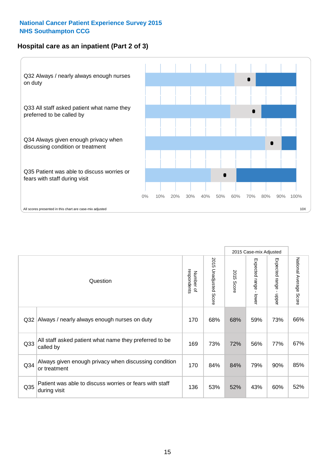## **Hospital care as an inpatient (Part 2 of 3)**



|                 |                                                                         |                          |                             |               | 2015 Case-mix Adjusted    |                                           |                           |
|-----------------|-------------------------------------------------------------------------|--------------------------|-----------------------------|---------------|---------------------------|-------------------------------------------|---------------------------|
|                 | Question                                                                | respondents<br>Number of | 2015<br>Unadjusted<br>Score | 2015<br>Score | Expected range<br>- lower | Expected range<br>$\blacksquare$<br>nbber | National Average<br>Score |
| Q32             | Always / nearly always enough nurses on duty                            | 170                      | 68%                         | 68%           | 59%                       | 73%                                       | 66%                       |
| Q <sub>33</sub> | All staff asked patient what name they preferred to be<br>called by     | 169                      | 73%                         | 72%           | 56%                       | 77%                                       | 67%                       |
| Q <sub>34</sub> | Always given enough privacy when discussing condition<br>or treatment   | 170                      | 84%                         | 84%           | 79%                       | 90%                                       | 85%                       |
| Q35             | Patient was able to discuss worries or fears with staff<br>during visit | 136                      | 53%                         | 52%           | 43%                       | 60%                                       | 52%                       |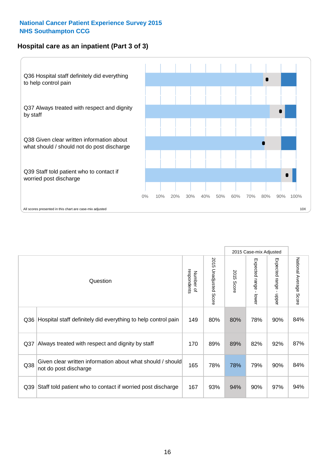## **Hospital care as an inpatient (Part 3 of 3)**



|                 |                                                                                     |                          |                                 |               | 2015 Case-mix Adjusted                    |                           |                        |
|-----------------|-------------------------------------------------------------------------------------|--------------------------|---------------------------------|---------------|-------------------------------------------|---------------------------|------------------------|
|                 | Question                                                                            | Number of<br>respondents | 2015<br><b>Unadjusted Score</b> | 2015<br>Score | Expected range<br>$\blacksquare$<br>lower | Expected range -<br>nbber | National Average Score |
| Q36             | Hospital staff definitely did everything to help control pain                       | 149                      | 80%                             | 80%           | 78%                                       | 90%                       | 84%                    |
| Q <sub>37</sub> | Always treated with respect and dignity by staff                                    | 170                      | 89%                             | 89%           | 82%                                       | 92%                       | 87%                    |
| Q38             | Given clear written information about what should / should<br>not do post discharge | 165                      | 78%                             | 78%           | 79%                                       | 90%                       | 84%                    |
| Q39             | Staff told patient who to contact if worried post discharge                         | 167                      | 93%                             | 94%           | 90%                                       | 97%                       | 94%                    |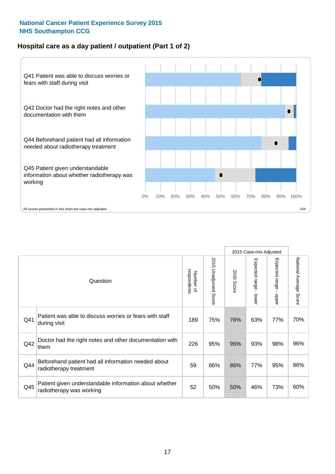## **Hospital care as a day patient / outpatient (Part 1 of 2)**



|     |                                                                                    |                          |                          |               | 2015 Case-mix Adjusted                  |                                         |                        |
|-----|------------------------------------------------------------------------------------|--------------------------|--------------------------|---------------|-----------------------------------------|-----------------------------------------|------------------------|
|     | Question                                                                           | respondents<br>Number of | 2015<br>Unadjusted Score | 2015<br>Score | Expected range<br>$\mathbf{I}$<br>lower | Expected range<br>$\mathbf{I}$<br>nbber | National Average Score |
| Q41 | Patient was able to discuss worries or fears with staff<br>during visit            | 189                      | 75%                      | 76%           | 63%                                     | 77%                                     | 70%                    |
| Q42 | Doctor had the right notes and other documentation with<br>them                    | 226                      | 95%                      | 95%           | 93%                                     | 98%                                     | 96%                    |
| Q44 | Beforehand patient had all information needed about<br>radiotherapy treatment      | 59                       | 86%                      | 86%           | 77%                                     | 95%                                     | 86%                    |
| Q45 | Patient given understandable information about whether<br>radiotherapy was working | 52                       | 50%                      | 50%           | 46%                                     | 73%                                     | 60%                    |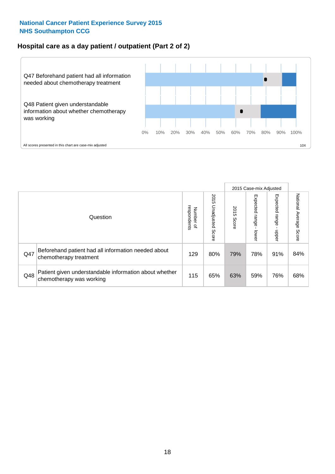## **Hospital care as a day patient / outpatient (Part 2 of 2)**



|     |                                                                                    |                                       |                             |               | 2015 Case-mix Adjusted       |                         |                           |
|-----|------------------------------------------------------------------------------------|---------------------------------------|-----------------------------|---------------|------------------------------|-------------------------|---------------------------|
|     | Question                                                                           | respondents<br>Number<br>$\mathbf{Q}$ | 2015<br>Unadjusted<br>Score | 2015<br>Score | Expected<br>I range<br>lower | Expected range<br>nbber | National Average<br>Score |
| Q47 | Beforehand patient had all information needed about<br>chemotherapy treatment      | 129                                   | 80%                         | 79%           | 78%                          | 91%                     | 84%                       |
| Q48 | Patient given understandable information about whether<br>chemotherapy was working | 115                                   | 65%                         | 63%           | 59%                          | 76%                     | 68%                       |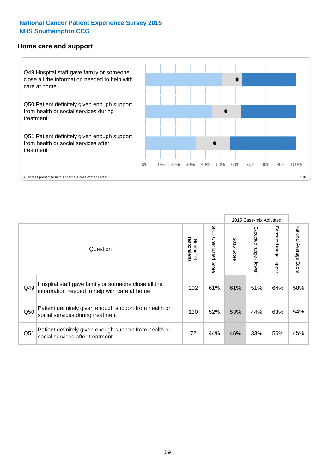#### **Home care and support**



2015 Case-mix Adjusted 2015 Unadjusted Score Expected range - upper National Average Score 2015 Unadjusted Score Expected range - lower National Average Score Expected range - lower Expected range - upper Number of<br>respondents 2015 Score respondents 2015 Score Number of Question Hospital staff gave family or someone close all the  $Q49$  information needed to help with care at home  $Q49$  61% 61% 51% 64% 58% Patient definitely given enough support from health or Q50 social services during treatment 130 | 52% 53% 44% 63% 54% Patient definitely given enough support from health or  $\frac{33\%}{\%}$  social services after treatment  $\frac{33\%}{\%}$  56%  $\frac{45\%}{\%}$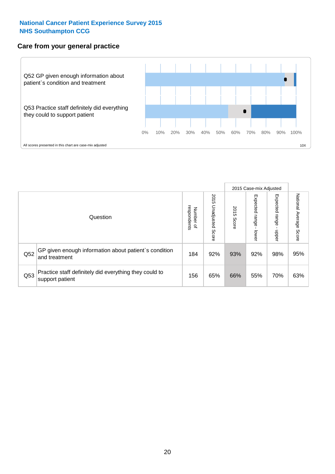## **Care from your general practice**



|     |                                                                           |                                       |                             |               | 2015 Case-mix Adjusted            |                            |                           |
|-----|---------------------------------------------------------------------------|---------------------------------------|-----------------------------|---------------|-----------------------------------|----------------------------|---------------------------|
|     | Question                                                                  | respondents<br>Number<br>$\mathbf{Q}$ | 2015<br>Unadjusted<br>Score | 2015<br>Score | Expected<br><b>Lange</b><br>lower | Expected<br>range<br>doper | National Average<br>Score |
| Q52 | GP given enough information about patient's condition<br>and treatment    | 184                                   | 92%                         | 93%           | 92%                               | 98%                        | 95%                       |
| Q53 | Practice staff definitely did everything they could to<br>support patient | 156                                   | 65%                         | 66%           | 55%                               | 70%                        | 63%                       |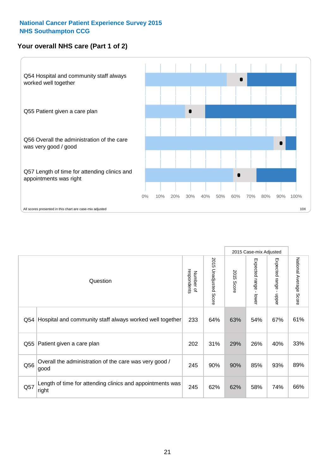## **Your overall NHS care (Part 1 of 2)**



|     |                                                                    |                          |                          | 2015 Case-mix Adjusted |                                           |                                           |                        |
|-----|--------------------------------------------------------------------|--------------------------|--------------------------|------------------------|-------------------------------------------|-------------------------------------------|------------------------|
|     | Question                                                           | respondents<br>Number of | 2015<br>Unadjusted Score | 2015<br>Score          | Expected range<br>$\blacksquare$<br>lower | Expected range<br>$\blacksquare$<br>nbber | National Average Score |
| Q54 | Hospital and community staff always worked well together           | 233                      | 64%                      | 63%                    | 54%                                       | 67%                                       | 61%                    |
| Q55 | Patient given a care plan                                          | 202                      | 31%                      | 29%                    | 26%                                       | 40%                                       | 33%                    |
| Q56 | Overall the administration of the care was very good /<br>good     | 245                      | 90%                      | 90%                    | 85%                                       | 93%                                       | 89%                    |
| Q57 | Length of time for attending clinics and appointments was<br>right | 245                      | 62%                      | 62%                    | 58%                                       | 74%                                       | 66%                    |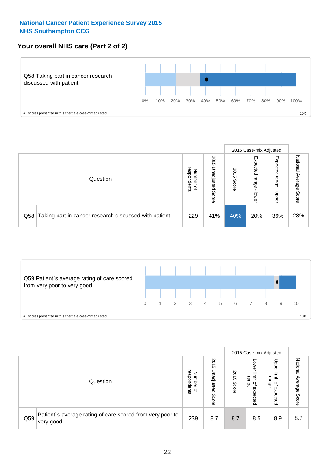## **Your overall NHS care (Part 2 of 2)**



|     |                                                       |                                         |                             |               | 2015 Case-mix Adjusted     |                            |                        |
|-----|-------------------------------------------------------|-----------------------------------------|-----------------------------|---------------|----------------------------|----------------------------|------------------------|
|     | Question                                              | respondents<br>Number<br>$\overline{a}$ | 2015<br>Unadjusted<br>Score | 2015<br>Score | Expected<br>range<br>lower | Expected<br>range<br>dpper | National Average Score |
| Q58 | Taking part in cancer research discussed with patient | 229                                     | 41%                         | 40%           | 20%                        | 36%                        | 28%                    |



|     |                                                                        |                                   |                             | 2015 Case-mix Adjusted |                                                           |                                                       |                              |
|-----|------------------------------------------------------------------------|-----------------------------------|-----------------------------|------------------------|-----------------------------------------------------------|-------------------------------------------------------|------------------------------|
|     | Question                                                               | respondents<br>Number<br>$\Omega$ | 2015<br>Inadjusted<br>Score | 2015<br>Score          | OWer<br>limit<br>range<br>$\overline{\sigma}$<br>expected | Upper<br>limit<br>range<br>$\overline{a}$<br>expected | National<br>Average<br>Score |
| Q59 | Patient's average rating of care scored from very poor to<br>very good | 239                               | 8.7                         | 8.7                    | 8.5                                                       | 8.9                                                   | 8.7                          |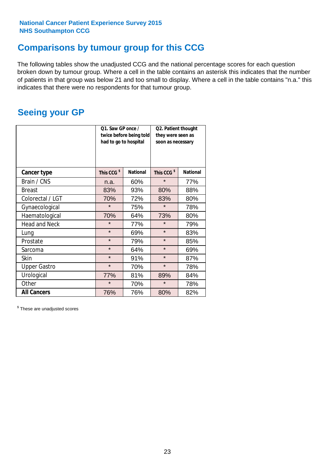## **Comparisons by tumour group for this CCG**

The following tables show the unadjusted CCG and the national percentage scores for each question broken down by tumour group. Where a cell in the table contains an asterisk this indicates that the number of patients in that group was below 21 and too small to display. Where a cell in the table contains "n.a." this indicates that there were no respondents for that tumour group.

## **Seeing your GP**

|                      | Q1. Saw GP once /<br>had to go to hospital | twice before being told | Q2. Patient thought<br>they were seen as<br>soon as necessary |                 |  |
|----------------------|--------------------------------------------|-------------------------|---------------------------------------------------------------|-----------------|--|
| <b>Cancer type</b>   | This CCG <sup>\$</sup>                     | <b>National</b>         | This CCG <sup>\$</sup>                                        | <b>National</b> |  |
| Brain / CNS          | n.a.                                       | 60%                     | $\star$                                                       | 77%             |  |
| <b>Breast</b>        | 83%                                        | 93%                     | 80%                                                           | 88%             |  |
| Colorectal / LGT     | 70%                                        | 72%                     | 83%                                                           | 80%             |  |
| Gynaecological       | $\star$                                    | 75%                     | $\star$                                                       | 78%             |  |
| Haematological       | 70%                                        | 64%                     | 73%                                                           | 80%             |  |
| <b>Head and Neck</b> | $\star$                                    | 77%                     | $\star$                                                       | 79%             |  |
| Lung                 | $\star$                                    | 69%                     | $\star$                                                       | 83%             |  |
| Prostate             | $\star$                                    | 79%                     | $\star$                                                       | 85%             |  |
| Sarcoma              | $\star$                                    | 64%                     | $\star$                                                       | 69%             |  |
| <b>Skin</b>          | $\star$                                    | 91%                     | $\star$                                                       | 87%             |  |
| <b>Upper Gastro</b>  | $\star$                                    | 70%                     | $\star$                                                       | 78%             |  |
| Urological           | 77%                                        | 81%                     | 89%                                                           | 84%             |  |
| Other                | $\star$                                    | 70%                     | $\star$                                                       | 78%             |  |
| <b>All Cancers</b>   | 76%                                        | 76%                     | 80%                                                           | 82%             |  |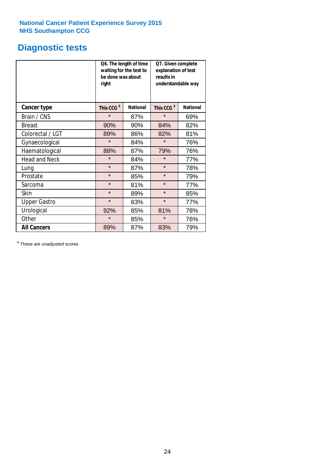## **Diagnostic tests**

|                      | be done was about<br>right | Q6. The length of time<br>waiting for the test to | Q7. Given complete<br>explanation of test<br>results in<br>understandable way |                 |  |
|----------------------|----------------------------|---------------------------------------------------|-------------------------------------------------------------------------------|-----------------|--|
| <b>Cancer type</b>   | This CCG <sup>\$</sup>     | <b>National</b>                                   | This CCG <sup>\$</sup>                                                        | <b>National</b> |  |
| Brain / CNS          | $\star$                    | 87%                                               | $\star$                                                                       | 69%             |  |
| <b>Breast</b>        | 90%                        | 90%                                               | 84%                                                                           | 82%             |  |
| Colorectal / LGT     | 89%                        | 86%                                               | 82%                                                                           | 81%             |  |
| Gynaecological       | $\star$                    | 84%                                               | $\star$                                                                       | 76%             |  |
| Haematological       | 88%                        | 87%                                               | 79%                                                                           | 76%             |  |
| <b>Head and Neck</b> | $\star$                    | 84%                                               | $\star$                                                                       | 77%             |  |
| Lung                 | $\star$                    | 87%                                               | $\star$                                                                       | 78%             |  |
| Prostate             | $\star$                    | 85%                                               | $\star$                                                                       | 79%             |  |
| Sarcoma              | $\star$                    | 81%                                               | $\star$                                                                       | 77%             |  |
| Skin                 | $\star$                    | 89%                                               | $\star$                                                                       | 85%             |  |
| <b>Upper Gastro</b>  | $\star$                    | 83%                                               | $\star$                                                                       | 77%             |  |
| Urological           | 92%                        | 85%                                               | 81%                                                                           | 78%             |  |
| Other                | $\star$                    | 85%                                               | $\star$                                                                       | 76%             |  |
| <b>All Cancers</b>   | 89%                        | 87%                                               | 83%                                                                           | 79%             |  |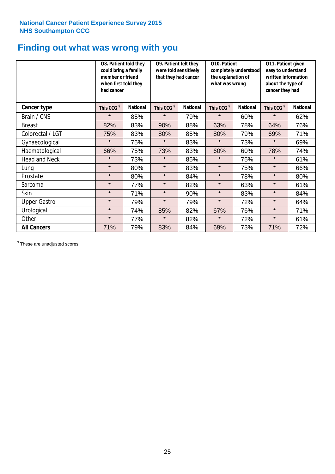## **Finding out what was wrong with you**

|                      | Q8. Patient told they<br>could bring a family<br>member or friend<br>when first told they<br>had cancer |                 | Q9. Patient felt they<br>were told sensitively<br>that they had cancer |                 | Q10. Patient<br>completely understood<br>the explanation of<br>what was wrong |                 | Q11. Patient given<br>easy to understand<br>written information<br>about the type of<br>cancer they had |                 |
|----------------------|---------------------------------------------------------------------------------------------------------|-----------------|------------------------------------------------------------------------|-----------------|-------------------------------------------------------------------------------|-----------------|---------------------------------------------------------------------------------------------------------|-----------------|
| Cancer type          | This CCG <sup>\$</sup>                                                                                  | <b>National</b> | This CCG <sup>\$</sup>                                                 | <b>National</b> | This CCG <sup>\$</sup>                                                        | <b>National</b> | This CCG <sup>\$</sup>                                                                                  | <b>National</b> |
| Brain / CNS          | $\star$                                                                                                 | 85%             | $\star$                                                                | 79%             | $\star$                                                                       | 60%             | $\star$                                                                                                 | 62%             |
| <b>Breast</b>        | 82%                                                                                                     | 83%             | 90%                                                                    | 88%             | 63%                                                                           | 78%             | 64%                                                                                                     | 76%             |
| Colorectal / LGT     | 75%                                                                                                     | 83%             | 80%                                                                    | 85%             | 80%                                                                           | 79%             | 69%                                                                                                     | 71%             |
| Gynaecological       | $\star$                                                                                                 | 75%             | $\star$                                                                | 83%             | $\star$                                                                       | 73%             | $\star$                                                                                                 | 69%             |
| Haematological       | 66%                                                                                                     | 75%             | 73%                                                                    | 83%             | 60%                                                                           | 60%             | 78%                                                                                                     | 74%             |
| <b>Head and Neck</b> | $\star$                                                                                                 | 73%             | $\star$                                                                | 85%             | $\star$                                                                       | 75%             | $\star$                                                                                                 | 61%             |
| Lung                 | $\star$                                                                                                 | 80%             | $\star$                                                                | 83%             | $\star$                                                                       | 75%             | $\star$                                                                                                 | 66%             |
| Prostate             | $\star$                                                                                                 | 80%             | $\star$                                                                | 84%             | $\star$                                                                       | 78%             | $\star$                                                                                                 | 80%             |
| Sarcoma              | $\star$                                                                                                 | 77%             | $\star$                                                                | 82%             | $\star$                                                                       | 63%             | $\star$                                                                                                 | 61%             |
| Skin                 | $\star$                                                                                                 | 71%             | $\star$                                                                | 90%             | $\star$                                                                       | 83%             | $\star$                                                                                                 | 84%             |
| <b>Upper Gastro</b>  | $\star$                                                                                                 | 79%             | $\star$                                                                | 79%             | $\star$                                                                       | 72%             | $\star$                                                                                                 | 64%             |
| Urological           | $\star$                                                                                                 | 74%             | 85%                                                                    | 82%             | 67%                                                                           | 76%             | $\star$                                                                                                 | 71%             |
| Other                | $\star$                                                                                                 | 77%             | $\star$                                                                | 82%             | $\star$                                                                       | 72%             | $\star$                                                                                                 | 61%             |
| <b>All Cancers</b>   | 71%                                                                                                     | 79%             | 83%                                                                    | 84%             | 69%                                                                           | 73%             | 71%                                                                                                     | 72%             |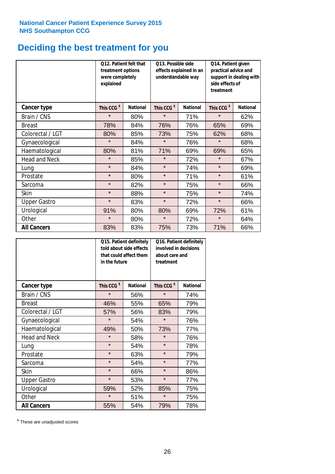## **Deciding the best treatment for you**

|                      | Q12. Patient felt that<br>treatment options<br>were completely<br>explained |                 | Q13. Possible side<br>understandable way | effects explained in an | Q14. Patient given<br>practical advice and<br>support in dealing with<br>side effects of<br>treatment |                 |  |
|----------------------|-----------------------------------------------------------------------------|-----------------|------------------------------------------|-------------------------|-------------------------------------------------------------------------------------------------------|-----------------|--|
| Cancer type          | This CCG <sup>\$</sup>                                                      | <b>National</b> | This CCG <sup>\$</sup>                   | <b>National</b>         | This CCG <sup>\$</sup>                                                                                | <b>National</b> |  |
| Brain / CNS          | $\star$                                                                     | 80%             | $\star$                                  | 71%                     | $\star$                                                                                               | 62%             |  |
| <b>Breast</b>        | 78%                                                                         | 84%             | 76%                                      | 76%                     | 65%                                                                                                   | 69%             |  |
| Colorectal / LGT     | 80%                                                                         | 85%             | 73%                                      | 75%                     | 62%                                                                                                   | 68%             |  |
| Gynaecological       | $\star$                                                                     | 84%             | $\star$                                  | 76%                     | $\star$                                                                                               | 68%             |  |
| Haematological       | 80%                                                                         | 81%             | 71%                                      | 69%                     | 69%                                                                                                   | 65%             |  |
| <b>Head and Neck</b> | $\star$                                                                     | 85%             | $\star$                                  | 72%                     | $\star$                                                                                               | 67%             |  |
| Lung                 | $\star$                                                                     | 84%             | $\star$                                  | 74%                     | $\star$                                                                                               | 69%             |  |
| Prostate             | $\star$                                                                     | 80%             | $\star$                                  | 71%                     | $\star$                                                                                               | 61%             |  |
| Sarcoma              | $\star$                                                                     | 82%             | $\star$                                  | 75%                     | $\star$                                                                                               | 66%             |  |
| Skin                 | $\star$                                                                     | 88%             | $\star$                                  | 75%                     | $\star$                                                                                               | 74%             |  |
| <b>Upper Gastro</b>  | $\star$                                                                     | 83%             | $\star$                                  | 72%                     | $\star$                                                                                               | 66%             |  |
| Urological           | 91%                                                                         | 80%             | 80%                                      | 69%                     | 72%                                                                                                   | 61%             |  |
| Other                | $\star$                                                                     | 80%             | $\star$                                  | 72%                     | $\star$                                                                                               | 64%             |  |
| <b>All Cancers</b>   | 83%                                                                         | 83%             | 75%                                      | 73%                     | 71%                                                                                                   | 66%             |  |

|                      | Q15. Patient definitely<br>told about side effects<br>that could affect them<br>in the future |                 |                        | Q16. Patient definitely<br>involved in decisions<br>about care and<br>treatment |  |  |
|----------------------|-----------------------------------------------------------------------------------------------|-----------------|------------------------|---------------------------------------------------------------------------------|--|--|
| <b>Cancer type</b>   | This CCG <sup>\$</sup>                                                                        | <b>National</b> | This CCG <sup>\$</sup> | <b>National</b>                                                                 |  |  |
| Brain / CNS          | $\star$                                                                                       | 56%             | $\star$                | 74%                                                                             |  |  |
| <b>Breast</b>        | 46%                                                                                           | 55%             | 65%                    | 79%                                                                             |  |  |
| Colorectal / LGT     | 57%                                                                                           | 56%             | 83%                    | 79%                                                                             |  |  |
| Gynaecological       | $\star$                                                                                       | 54%             | $\star$                | 76%                                                                             |  |  |
| Haematological       | 49%                                                                                           | 50%             |                        | 77%                                                                             |  |  |
| <b>Head and Neck</b> | $\star$                                                                                       | 58%             | $\star$                | 76%                                                                             |  |  |
| Lung                 | $\star$                                                                                       | 54%             | $\star$                | 78%                                                                             |  |  |
| Prostate             | $\star$                                                                                       | 63%             | $\star$                | 79%                                                                             |  |  |
| Sarcoma              | $\star$                                                                                       | 54%             | $\star$                | 77%                                                                             |  |  |
| Skin                 | $\star$                                                                                       | 66%             | $\star$                | 86%                                                                             |  |  |
| <b>Upper Gastro</b>  | $\star$                                                                                       | 53%             | $\star$                | 77%                                                                             |  |  |
| Urological           | 59%                                                                                           | 52%             | 85%                    | 75%                                                                             |  |  |
| Other                | $\star$                                                                                       | 51%             | $\star$                | 75%                                                                             |  |  |
| <b>All Cancers</b>   | 55%                                                                                           | 54%             | 79%                    | 78%                                                                             |  |  |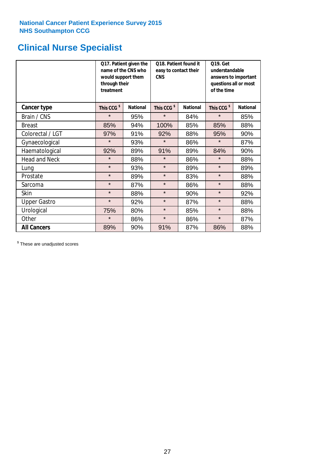## **Clinical Nurse Specialist**

|                      | would support them<br>through their<br>treatment | Q17. Patient given the<br>name of the CNS who | Q18. Patient found it<br>easy to contact their<br><b>CNS</b> |                 | <b>Q19. Get</b><br>understandable<br>answers to important<br>questions all or most<br>of the time |                 |  |
|----------------------|--------------------------------------------------|-----------------------------------------------|--------------------------------------------------------------|-----------------|---------------------------------------------------------------------------------------------------|-----------------|--|
| <b>Cancer type</b>   | This CCG <sup>\$</sup>                           | <b>National</b>                               | This CCG <sup>\$</sup>                                       | <b>National</b> | This CCG <sup>\$</sup>                                                                            | <b>National</b> |  |
| Brain / CNS          | $\star$                                          | 95%                                           | $\star$                                                      | 84%             | $\star$                                                                                           | 85%             |  |
| <b>Breast</b>        | 85%                                              | 94%                                           | 100%                                                         | 85%             | 85%                                                                                               | 88%             |  |
| Colorectal / LGT     | 97%                                              | 91%                                           | 92%                                                          | 88%             | 95%                                                                                               | 90%             |  |
| Gynaecological       | $\star$                                          | 93%                                           | $\star$                                                      | 86%             | $\star$                                                                                           | 87%             |  |
| Haematological       | 92%                                              | 89%                                           | 91%                                                          | 89%             | 84%                                                                                               | 90%             |  |
| <b>Head and Neck</b> | $\star$                                          | 88%                                           | $\star$                                                      | 86%             | $\star$                                                                                           | 88%             |  |
| Lung                 | $\star$                                          | 93%                                           | $\star$                                                      | 89%             | $\star$                                                                                           | 89%             |  |
| Prostate             | $\star$                                          | 89%                                           | $\star$                                                      | 83%             | $\star$                                                                                           | 88%             |  |
| Sarcoma              | $\star$                                          | 87%                                           | $\star$                                                      | 86%             | $\star$                                                                                           | 88%             |  |
| Skin                 | $\star$                                          | 88%                                           | $\star$                                                      | 90%             | $\star$                                                                                           | 92%             |  |
| <b>Upper Gastro</b>  | $\star$                                          | 92%                                           | $\star$                                                      | 87%             | $\star$                                                                                           | 88%             |  |
| Urological           | 75%                                              | 80%                                           | $\star$                                                      | 85%             | $\star$                                                                                           | 88%             |  |
| Other                | $\star$                                          | 86%                                           | $\star$                                                      | 86%             | $\star$                                                                                           | 87%             |  |
| <b>All Cancers</b>   | 89%                                              | 90%                                           | 91%                                                          | 87%             | 86%                                                                                               | 88%             |  |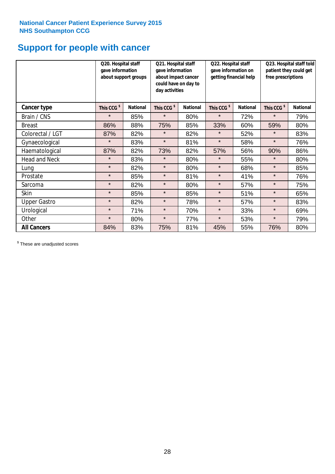## **Support for people with cancer**

|                      | Q20. Hospital staff<br>gave information | about support groups | Q21. Hospital staff<br>gave information<br>about impact cancer<br>could have on day to<br>day activities |                 | Q22. Hospital staff<br>gave information on<br>getting financial help |                 | Q23. Hospital staff told<br>patient they could get<br>free prescriptions |                 |
|----------------------|-----------------------------------------|----------------------|----------------------------------------------------------------------------------------------------------|-----------------|----------------------------------------------------------------------|-----------------|--------------------------------------------------------------------------|-----------------|
| Cancer type          | This CCG <sup>\$</sup>                  | <b>National</b>      | This CCG <sup>\$</sup>                                                                                   | <b>National</b> | This CCG <sup>\$</sup>                                               | <b>National</b> | This CCG <sup>\$</sup>                                                   | <b>National</b> |
| Brain / CNS          | $\star$                                 | 85%                  | $\star$                                                                                                  | 80%             | $\star$                                                              | 72%             | $\star$                                                                  | 79%             |
| <b>Breast</b>        | 86%                                     | 88%                  | 75%                                                                                                      | 85%             | 33%                                                                  | 60%             | 59%                                                                      | 80%             |
| Colorectal / LGT     | 87%                                     | 82%                  | $\star$                                                                                                  | 82%             | $\star$                                                              | 52%             | $\star$                                                                  | 83%             |
| Gynaecological       | $\star$                                 | 83%                  | $\star$                                                                                                  | 81%             | $\star$                                                              | 58%             | $\star$                                                                  | 76%             |
| Haematological       | 87%                                     | 82%                  | 73%                                                                                                      | 82%             | 57%                                                                  | 56%             | 90%                                                                      | 86%             |
| <b>Head and Neck</b> | $\star$                                 | 83%                  | $\star$                                                                                                  | 80%             | $\star$                                                              | 55%             | $\star$                                                                  | 80%             |
| Lung                 | $\star$                                 | 82%                  | $\star$                                                                                                  | 80%             | $\star$                                                              | 68%             | $\star$                                                                  | 85%             |
| Prostate             | $\star$                                 | 85%                  | $\star$                                                                                                  | 81%             | $\star$                                                              | 41%             | $\star$                                                                  | 76%             |
| Sarcoma              | $\star$                                 | 82%                  | $\star$                                                                                                  | 80%             | $\star$                                                              | 57%             | $\star$                                                                  | 75%             |
| Skin                 | $\star$                                 | 85%                  | $\star$                                                                                                  | 85%             | $\star$                                                              | 51%             | $\star$                                                                  | 65%             |
| <b>Upper Gastro</b>  | $\star$                                 | 82%                  | $\star$                                                                                                  | 78%             | $\star$                                                              | 57%             | $\star$                                                                  | 83%             |
| Urological           | $\star$                                 | 71%                  | $\star$                                                                                                  | 70%             | $\star$                                                              | 33%             | $\star$                                                                  | 69%             |
| Other                | $\star$                                 | 80%                  | $\star$                                                                                                  | 77%             | $\star$                                                              | 53%             | $\star$                                                                  | 79%             |
| <b>All Cancers</b>   | 84%                                     | 83%                  | 75%                                                                                                      | 81%             | 45%                                                                  | 55%             | 76%                                                                      | 80%             |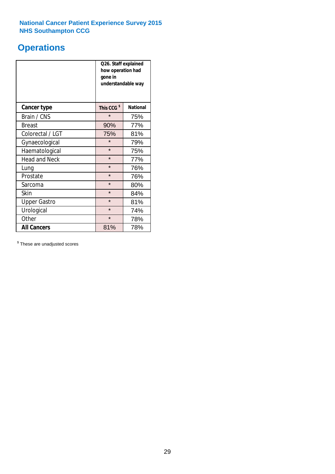## **Operations**

|                      | Q26. Staff explained<br>how operation had<br>gone in<br>understandable way |                 |  |  |
|----------------------|----------------------------------------------------------------------------|-----------------|--|--|
| <b>Cancer type</b>   | This CCG <sup>\$</sup>                                                     | <b>National</b> |  |  |
| Brain / CNS          | $\star$                                                                    | 75%             |  |  |
| <b>Breast</b>        | 90%                                                                        | 77%             |  |  |
| Colorectal / LGT     | 75%                                                                        | 81%             |  |  |
| Gynaecological       | $\star$                                                                    | 79%             |  |  |
| Haematological       | $\star$<br>75%                                                             |                 |  |  |
| <b>Head and Neck</b> | $\star$                                                                    | 77%             |  |  |
| Lung                 | $\star$                                                                    | 76%             |  |  |
| Prostate             | $\star$                                                                    | 76%             |  |  |
| Sarcoma              | $\star$                                                                    | 80%             |  |  |
| Skin                 | $\star$                                                                    | 84%             |  |  |
| <b>Upper Gastro</b>  | $\star$                                                                    | 81%             |  |  |
| Urological           | $\star$<br>74%                                                             |                 |  |  |
| Other                | $\star$<br>78%                                                             |                 |  |  |
| <b>All Cancers</b>   | 81%<br>78%                                                                 |                 |  |  |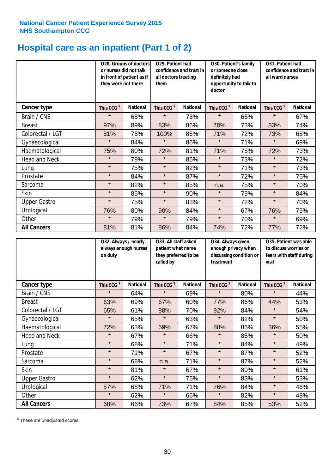## **Hospital care as an inpatient (Part 1 of 2)**

|                      | or nurses did not talk<br>they were not there | Q28. Groups of doctors<br>in front of patient as if | Q29. Patient had<br>confidence and trust in<br>all doctors treating<br>them |                 | Q30. Patient's family<br>or someone close<br>definitely had<br>opportunity to talk to<br>doctor |                 | Q31. Patient had<br>confidence and trust in I<br>all ward nurses |                 |
|----------------------|-----------------------------------------------|-----------------------------------------------------|-----------------------------------------------------------------------------|-----------------|-------------------------------------------------------------------------------------------------|-----------------|------------------------------------------------------------------|-----------------|
| <b>Cancer type</b>   | This CCG <sup>\$</sup>                        | <b>National</b>                                     | This CCG <sup>\$</sup>                                                      | <b>National</b> | This CCG <sup>\$</sup>                                                                          | <b>National</b> | This CCG <sup>\$</sup>                                           | <b>National</b> |
| Brain / CNS          | $\star$                                       | 68%                                                 | $\star$                                                                     | 78%             | $\star$                                                                                         | 65%             | $\star$                                                          | 67%             |
| <b>Breast</b>        | 97%                                           | 89%                                                 | 83%                                                                         | 86%             | 70%                                                                                             | 73%             | 83%                                                              | 74%             |
| Colorectal / LGT     | 81%                                           | 75%                                                 | 100%                                                                        | 85%             | 71%                                                                                             | 72%             | 73%                                                              | 68%             |
| Gynaecological       | $\star$                                       | 84%                                                 | $\star$                                                                     | 86%             | $\star$                                                                                         | 71%             | $\star$                                                          | 69%             |
| Haematological       | 75%                                           | 80%                                                 | 72%                                                                         | 81%             | 71%                                                                                             | 75%             | 72%                                                              | 73%             |
| <b>Head and Neck</b> | $\star$                                       | 79%                                                 | $\star$                                                                     | 85%             | $\star$                                                                                         | 73%             | $\star$                                                          | 72%             |
| Lung                 | $\star$                                       | 75%                                                 | $\star$                                                                     | 82%             | $\star$                                                                                         | 71%             | $\star$                                                          | 73%             |
| Prostate             | $\star$                                       | 84%                                                 | $\star$                                                                     | 87%             | $\star$                                                                                         | 72%             | $\star$                                                          | 75%             |
| Sarcoma              | $\star$                                       | 82%                                                 | $\star$                                                                     | 85%             | n.a.                                                                                            | 75%             | $\star$                                                          | 70%             |
| Skin                 | $\star$                                       | 85%                                                 | $\star$                                                                     | 90%             | $\star$                                                                                         | 79%             | $\star$                                                          | 84%             |
| <b>Upper Gastro</b>  | $\star$                                       | 75%                                                 | $\star$                                                                     | 83%             | $\star$                                                                                         | 72%             | $\star$                                                          | 70%             |
| Urological           | 76%                                           | 80%                                                 | 90%                                                                         | 84%             | $\star$                                                                                         | 67%             | 76%                                                              | 75%             |
| Other                | $\star$                                       | 79%                                                 | $\star$                                                                     | 79%             | $\star$                                                                                         | 70%             | $\star$                                                          | 69%             |
| <b>All Cancers</b>   | 81%                                           | 81%                                                 | 86%                                                                         | 84%             | 74%                                                                                             | 72%             | 77%                                                              | 72%             |

|                      | Q32. Always / nearly<br>always enough nurses<br>on duty |                 | Q33. All staff asked<br>patient what name<br>they preferred to be<br>called by |                 | Q34. Always given<br>enough privacy when<br>discussing condition or<br>treatment |                 | Q35. Patient was able<br>to discuss worries or<br>fears with staff during<br>visit |                 |
|----------------------|---------------------------------------------------------|-----------------|--------------------------------------------------------------------------------|-----------------|----------------------------------------------------------------------------------|-----------------|------------------------------------------------------------------------------------|-----------------|
| <b>Cancer type</b>   | This CCG <sup>\$</sup>                                  | <b>National</b> | This CCG <sup>\$</sup>                                                         | <b>National</b> | This CCG <sup>\$</sup>                                                           | <b>National</b> | This CCG <sup>\$</sup>                                                             | <b>National</b> |
| Brain / CNS          | $\star$                                                 | 64%             | $\star$                                                                        | 69%             | $\star$                                                                          | 80%             | $\star$                                                                            | 44%             |
| <b>Breast</b>        | 63%                                                     | 69%             | 67%                                                                            | 60%             | 77%                                                                              | 86%             | 44%                                                                                | 53%             |
| Colorectal / LGT     | 65%                                                     | 61%             | 88%                                                                            | 70%             | 92%                                                                              | 84%             | $\star$                                                                            | 54%             |
| Gynaecological       | $\star$                                                 | 65%             | $\star$                                                                        | 63%             | $\star$                                                                          | 82%             | $\star$                                                                            | 50%             |
| Haematological       | 72%                                                     | 63%             | 69%                                                                            | 67%             | 88%                                                                              | 86%             | 36%                                                                                | 55%             |
| <b>Head and Neck</b> | $\star$                                                 | 67%             | $\star$                                                                        | 66%             | $\star$                                                                          | 85%             | $\star$                                                                            | 50%             |
| Lung                 | $\star$                                                 | 68%             | $\star$                                                                        | 71%             | $\star$                                                                          | 84%             | $\star$                                                                            | 49%             |
| Prostate             | $\star$                                                 | 71%             | $\star$                                                                        | 67%             | $\star$                                                                          | 87%             | $\star$                                                                            | 52%             |
| Sarcoma              | $\star$                                                 | 68%             | n.a.                                                                           | 71%             | $\star$                                                                          | 87%             | $\star$                                                                            | 52%             |
| Skin                 | $\star$                                                 | 81%             | $\star$                                                                        | 67%             | $\star$                                                                          | 89%             | $\star$                                                                            | 61%             |
| <b>Upper Gastro</b>  | $\star$                                                 | 62%             | $\star$                                                                        | 75%             | $\star$                                                                          | 83%             | $\star$                                                                            | 53%             |
| Urological           | 57%                                                     | 68%             | 71%                                                                            | 71%             | 76%                                                                              | 84%             | $\star$                                                                            | 46%             |
| Other                | $\star$                                                 | 62%             | $\star$                                                                        | 66%             | $\star$                                                                          | 82%             | $\star$                                                                            | 48%             |
| <b>All Cancers</b>   | 68%                                                     | 66%             | 73%                                                                            | 67%             | 84%                                                                              | 85%             | 53%                                                                                | 52%             |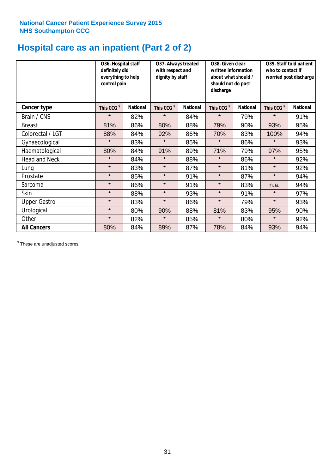## **Hospital care as an inpatient (Part 2 of 2)**

|                      | Q36. Hospital staff<br>definitely did<br>everything to help<br>control pain |                 | Q37. Always treated<br>with respect and<br>dignity by staff |                 | Q38. Given clear<br>Q39. Staff told patient<br>written information<br>who to contact if<br>worried post discharge<br>about what should /<br>should not do post<br>discharge |                 |                        |                 |  |
|----------------------|-----------------------------------------------------------------------------|-----------------|-------------------------------------------------------------|-----------------|-----------------------------------------------------------------------------------------------------------------------------------------------------------------------------|-----------------|------------------------|-----------------|--|
| Cancer type          | This CCG <sup>\$</sup>                                                      | <b>National</b> | This CCG <sup>\$</sup>                                      | <b>National</b> | This CCG <sup>\$</sup>                                                                                                                                                      | <b>National</b> | This CCG <sup>\$</sup> | <b>National</b> |  |
| Brain / CNS          | $\star$                                                                     | 82%             | $\star$                                                     | 84%             | $\star$                                                                                                                                                                     | 79%             | $\star$                | 91%             |  |
| <b>Breast</b>        | 81%                                                                         | 86%             | 80%                                                         | 88%             | 79%                                                                                                                                                                         | 90%             | 93%                    | 95%             |  |
| Colorectal / LGT     | 88%                                                                         | 84%             | 92%                                                         | 86%             | 70%                                                                                                                                                                         | 83%             | 100%                   | 94%             |  |
| Gynaecological       | $\star$                                                                     | 83%             | $\star$                                                     | 85%             | $\star$                                                                                                                                                                     | 86%             | $\star$                | 93%             |  |
| Haematological       | 80%                                                                         | 84%             | 91%                                                         | 89%             | 71%                                                                                                                                                                         | 79%             | 97%                    | 95%             |  |
| <b>Head and Neck</b> | $\star$                                                                     | 84%             | $\star$                                                     | 88%             | $\star$                                                                                                                                                                     | 86%             | $\star$                | 92%             |  |
| Lung                 | $\star$                                                                     | 83%             | $\star$                                                     | 87%             | $\star$                                                                                                                                                                     | 81%             | $\star$                | 92%             |  |
| Prostate             | $\star$                                                                     | 85%             | $\star$                                                     | 91%             | $\star$                                                                                                                                                                     | 87%             | $\star$                | 94%             |  |
| Sarcoma              | $\star$                                                                     | 86%             | $\star$                                                     | 91%             | $\star$                                                                                                                                                                     | 83%             | n.a.                   | 94%             |  |
| Skin                 | $\star$                                                                     | 88%             | $\star$                                                     | 93%             | $\star$                                                                                                                                                                     | 91%             | $\star$                | 97%             |  |
| <b>Upper Gastro</b>  | $\star$                                                                     | 83%             | $\star$                                                     | 86%             | $\star$                                                                                                                                                                     | 79%             | $\star$                | 93%             |  |
| Urological           | $\star$                                                                     | 80%             | 90%                                                         | 88%             | 81%                                                                                                                                                                         | 83%             | 95%                    | 90%             |  |
| Other                | $\star$                                                                     | 82%             | $\star$                                                     | 85%             | $\star$                                                                                                                                                                     | 80%             | $\star$                | 92%             |  |
| <b>All Cancers</b>   | 80%                                                                         | 84%             | 89%                                                         | 87%             | 78%                                                                                                                                                                         | 84%             | 93%                    | 94%             |  |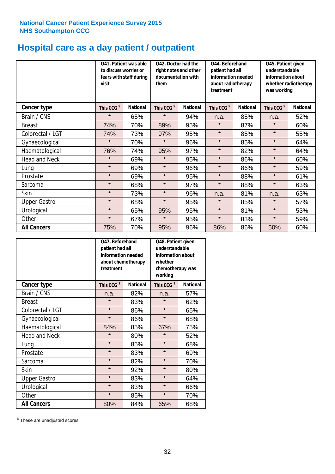## **Hospital care as a day patient / outpatient**

|                      | to discuss worries or<br>visit | Q41. Patient was able<br>fears with staff during | Q42. Doctor had the<br>right notes and other<br>documentation with<br>them |                 | Q45. Patient given<br>understandable<br>patient had all<br>information needed<br>information about<br>about radiotherapy<br>treatment<br>was working |                 | Q44. Beforehand        |                 | whether radiotherapy |
|----------------------|--------------------------------|--------------------------------------------------|----------------------------------------------------------------------------|-----------------|------------------------------------------------------------------------------------------------------------------------------------------------------|-----------------|------------------------|-----------------|----------------------|
| <b>Cancer type</b>   | This CCG <sup>\$</sup>         | <b>National</b>                                  | This CCG <sup>\$</sup>                                                     | <b>National</b> | This CCG <sup>\$</sup>                                                                                                                               | <b>National</b> | This CCG <sup>\$</sup> | <b>National</b> |                      |
| Brain / CNS          | $\star$                        | 65%                                              | $\star$                                                                    | 94%             | n.a.                                                                                                                                                 | 85%             | n.a.                   | 52%             |                      |
| <b>Breast</b>        | 74%                            | 70%                                              | 89%                                                                        | 95%             | $\star$                                                                                                                                              | 87%             | $\star$                | 60%             |                      |
| Colorectal / LGT     | 74%                            | 73%                                              | 97%                                                                        | 95%             | $\star$                                                                                                                                              | 85%             | $\star$                | 55%             |                      |
| Gynaecological       | $\star$                        | 70%                                              | $\star$                                                                    | 96%             | $\star$                                                                                                                                              | 85%             | $\star$                | 64%             |                      |
| Haematological       | 76%                            | 74%                                              | 95%                                                                        | 97%             | $\star$                                                                                                                                              | 82%             | $\star$                | 64%             |                      |
| <b>Head and Neck</b> | $\star$                        | 69%                                              | $\star$                                                                    | 95%             | $\star$                                                                                                                                              | 86%             | $\star$                | 60%             |                      |
| Lung                 | $\star$                        | 69%                                              | $\star$                                                                    | 96%             | $\star$                                                                                                                                              | 86%             | $\star$                | 59%             |                      |
| Prostate             | $\star$                        | 69%                                              | $\star$                                                                    | 95%             | $\star$                                                                                                                                              | 88%             | $\star$                | 61%             |                      |
| Sarcoma              | $\star$                        | 68%                                              | $\star$                                                                    | 97%             | $\star$                                                                                                                                              | 88%             | $\star$                | 63%             |                      |
| Skin                 | $\star$                        | 73%                                              | $\star$                                                                    | 96%             | n.a.                                                                                                                                                 | 81%             | n.a.                   | 63%             |                      |
| <b>Upper Gastro</b>  | $\star$                        | 68%                                              | $\star$                                                                    | 95%             | $\star$                                                                                                                                              | 85%             | $\star$                | 57%             |                      |
| Urological           | $\star$                        | 65%                                              | 95%                                                                        | 95%             | $\star$                                                                                                                                              | 81%             | $\star$                | 53%             |                      |
| Other                | $\star$                        | 67%                                              | $\star$                                                                    | 95%             | $\star$                                                                                                                                              | 83%             | $\star$                | 59%             |                      |
| <b>All Cancers</b>   | 75%                            | 70%                                              | 95%                                                                        | 96%             | 86%                                                                                                                                                  | 86%             | 50%                    | 60%             |                      |

|                      | O47. Beforehand<br>patient had all<br>information needed<br>treatment | about chemotherapy | Q48. Patient given<br>understandable<br>information about<br>whether<br>chemotherapy was<br>working |                 |
|----------------------|-----------------------------------------------------------------------|--------------------|-----------------------------------------------------------------------------------------------------|-----------------|
| <b>Cancer type</b>   | This CCG <sup>\$</sup>                                                | <b>National</b>    | This CCG <sup>\$</sup>                                                                              | <b>National</b> |
| Brain / CNS          | n.a.                                                                  | 82%                | n.a.                                                                                                | 57%             |
| <b>Breast</b>        | $\star$                                                               | 83%                | $\star$                                                                                             | 62%             |
| Colorectal / LGT     | $\star$                                                               | 86%                | $\star$                                                                                             | 65%             |
| Gynaecological       | $\star$                                                               | 86%                | $\star$                                                                                             | 68%             |
| Haematological       | 84%                                                                   | 85%                | 67%                                                                                                 | 75%             |
| <b>Head and Neck</b> | $\star$                                                               | 80%                | $\star$                                                                                             | 52%             |
| Lung                 | $\star$                                                               | 85%                | $\star$                                                                                             | 68%             |
| Prostate             | $\star$                                                               | 83%                | $\star$                                                                                             | 69%             |
| Sarcoma              | $\star$                                                               | 82%                | $\star$                                                                                             | 70%             |
| Skin                 | $\star$                                                               | 92%                | $\star$                                                                                             | 80%             |
| <b>Upper Gastro</b>  | $\star$                                                               | 83%                | $\star$                                                                                             | 64%             |
| Urological           | $\star$                                                               | 83%                | $\star$                                                                                             | 66%             |
| Other                | $\star$                                                               | 85%                | $\star$                                                                                             | 70%             |
| <b>All Cancers</b>   | 80%                                                                   | 84%                | 65%                                                                                                 | 68%             |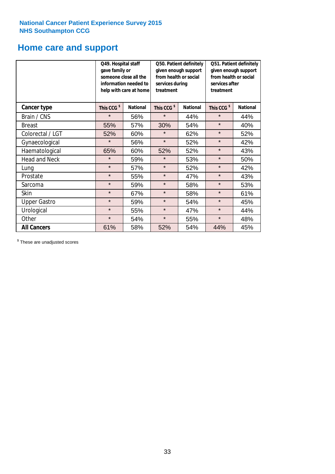## **Home care and support**

|                      | Q49. Hospital staff<br>gave family or<br>someone close all the<br>information needed to<br>help with care at home |                 | from health or social<br>services during<br>treatment | Q50. Patient definitely<br>given enough support | Q51. Patient definitely<br>given enough support<br>from health or social<br>services after<br>treatment |                 |  |
|----------------------|-------------------------------------------------------------------------------------------------------------------|-----------------|-------------------------------------------------------|-------------------------------------------------|---------------------------------------------------------------------------------------------------------|-----------------|--|
| <b>Cancer type</b>   | This CCG <sup>\$</sup>                                                                                            | <b>National</b> | This CCG <sup>\$</sup>                                | <b>National</b>                                 | This CCG <sup>\$</sup>                                                                                  | <b>National</b> |  |
| Brain / CNS          | $\star$                                                                                                           | 56%             | $\star$                                               | 44%                                             | $\star$                                                                                                 | 44%             |  |
| <b>Breast</b>        | 55%                                                                                                               | 57%             | 30%                                                   | 54%                                             | $\star$                                                                                                 | 40%             |  |
| Colorectal / LGT     | 52%                                                                                                               | 60%             | $\star$                                               | 62%                                             | $\star$                                                                                                 | 52%             |  |
| Gynaecological       | $\star$                                                                                                           | 56%             | $\star$                                               | 52%                                             | $\star$                                                                                                 | 42%             |  |
| Haematological       | 65%                                                                                                               | 60%             | 52%                                                   | 52%                                             | $\star$                                                                                                 | 43%             |  |
| <b>Head and Neck</b> | $\star$                                                                                                           | 59%             | $\star$                                               | 53%                                             | $\star$                                                                                                 | 50%             |  |
| Lung                 | $\star$                                                                                                           | 57%             | $\star$                                               | 52%                                             | $\star$                                                                                                 | 42%             |  |
| Prostate             | $\star$                                                                                                           | 55%             | $\star$                                               | 47%                                             | $\star$                                                                                                 | 43%             |  |
| Sarcoma              | $\star$                                                                                                           | 59%             | $\star$                                               | 58%                                             | $\star$                                                                                                 | 53%             |  |
| Skin                 | $\star$                                                                                                           | 67%             | $\star$                                               | 58%                                             | $\star$                                                                                                 | 61%             |  |
| <b>Upper Gastro</b>  | $\star$                                                                                                           | 59%             | $\star$                                               | 54%                                             | $\star$                                                                                                 | 45%             |  |
| Urological           | $\star$                                                                                                           | 55%             | $\star$                                               | 47%                                             | $\star$                                                                                                 | 44%             |  |
| Other                | $\star$                                                                                                           | 54%             | $\star$                                               | 55%                                             | $\star$                                                                                                 | 48%             |  |
| <b>All Cancers</b>   | 61%                                                                                                               | 58%             | 52%                                                   | 54%                                             | 44%                                                                                                     | 45%             |  |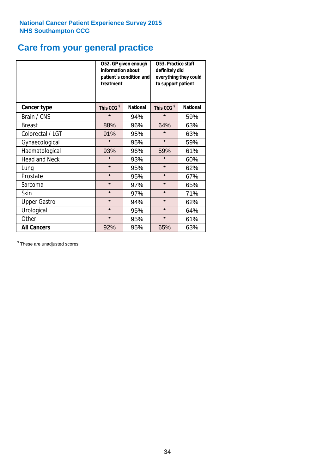## **Care from your general practice**

|                      | information about<br>treatment | Q52. GP given enough<br>patient's condition and | Q53. Practice staff<br>definitely did<br>everything they could<br>to support patient |                 |  |
|----------------------|--------------------------------|-------------------------------------------------|--------------------------------------------------------------------------------------|-----------------|--|
| <b>Cancer type</b>   | This CCG <sup>\$</sup>         | <b>National</b>                                 | This CCG <sup>\$</sup>                                                               | <b>National</b> |  |
| Brain / CNS          | $\star$                        | 94%                                             | $\star$                                                                              | 59%             |  |
| <b>Breast</b>        | 88%                            | 96%                                             | 64%                                                                                  | 63%             |  |
| Colorectal / LGT     | 91%                            | 95%                                             | $\star$                                                                              | 63%             |  |
| Gynaecological       | $\star$                        | 95%                                             | $\star$                                                                              | 59%             |  |
| Haematological       | 93%                            | 96%                                             | 59%                                                                                  | 61%             |  |
| <b>Head and Neck</b> | $\star$                        | 93%                                             | $\star$                                                                              | 60%             |  |
| Lung                 | $\star$                        | 95%                                             | $\star$                                                                              | 62%             |  |
| Prostate             | $\star$                        | 95%                                             | $\star$                                                                              | 67%             |  |
| Sarcoma              | $\star$                        | 97%                                             | $\star$                                                                              | 65%             |  |
| <b>Skin</b>          | $\star$                        | 97%                                             | $\star$                                                                              | 71%             |  |
| <b>Upper Gastro</b>  | $\star$                        | 94%                                             | $\star$                                                                              | 62%             |  |
| Urological           | $\star$                        | 95%                                             | $\star$                                                                              | 64%             |  |
| Other                | $\star$                        | 95%                                             | $\star$                                                                              | 61%             |  |
| <b>All Cancers</b>   | 92%                            | 95%                                             | 65%                                                                                  | 63%             |  |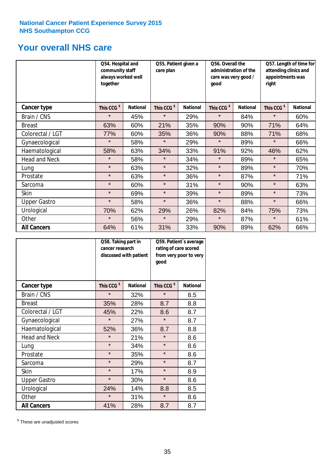## **Your overall NHS care**

|                      | together               | Q54. Hospital and<br>community staff<br>always worked well |                        | Q55. Patient given a<br>care plan |                        | Q56. Overall the<br>administration of the<br>care was very good /<br>qood |                        | Q57. Length of time for<br>attending clinics and<br>appointments was<br>right |  |
|----------------------|------------------------|------------------------------------------------------------|------------------------|-----------------------------------|------------------------|---------------------------------------------------------------------------|------------------------|-------------------------------------------------------------------------------|--|
| Cancer type          | This CCG <sup>\$</sup> | <b>National</b>                                            | This CCG <sup>\$</sup> | <b>National</b>                   | This CCG <sup>\$</sup> | <b>National</b>                                                           | This CCG <sup>\$</sup> | <b>National</b>                                                               |  |
| Brain / CNS          | $\star$                | 45%                                                        | $\star$                | 29%                               | $\star$                | 84%                                                                       | $\star$                | 60%                                                                           |  |
| <b>Breast</b>        | 63%                    | 60%                                                        | 21%                    | 35%                               | 90%                    | 90%                                                                       | 71%                    | 64%                                                                           |  |
| Colorectal / LGT     | 77%                    | 60%                                                        | 35%                    | 36%                               | 90%                    | 88%                                                                       | 71%                    | 68%                                                                           |  |
| Gynaecological       | $\star$                | 58%                                                        | $\star$                | 29%                               | $\star$                | 89%                                                                       | $\star$                | 66%                                                                           |  |
| Haematological       | 58%                    | 63%                                                        | 34%                    | 33%                               | 91%                    | 92%                                                                       | 46%                    | 62%                                                                           |  |
| <b>Head and Neck</b> | $\star$                | 58%                                                        | $\star$                | 34%                               | $\star$                | 89%                                                                       | $\star$                | 65%                                                                           |  |
| Lung                 | $\star$                | 63%                                                        | $\star$                | 32%                               | $\star$                | 89%                                                                       | $\star$                | 70%                                                                           |  |
| Prostate             | $\star$                | 63%                                                        | $\star$                | 36%                               | $\star$                | 87%                                                                       | $\star$                | 71%                                                                           |  |
| Sarcoma              | $\star$                | 60%                                                        | $\star$                | 31%                               | $\star$                | 90%                                                                       | $\star$                | 63%                                                                           |  |
| Skin                 | $\star$                | 69%                                                        | $\star$                | 39%                               | $\star$                | 89%                                                                       | $\star$                | 73%                                                                           |  |
| <b>Upper Gastro</b>  | $\star$                | 58%                                                        | $\star$                | 36%                               | $\star$                | 88%                                                                       | $\star$                | 66%                                                                           |  |
| Urological           | 70%                    | 62%                                                        | 29%                    | 26%                               | 82%                    | 84%                                                                       | 75%                    | 73%                                                                           |  |
| Other                | $\star$                | 56%                                                        | $\star$                | 29%                               | $\star$                | 87%                                                                       | $\star$                | 61%                                                                           |  |
| <b>All Cancers</b>   | 64%                    | 61%                                                        | 31%                    | 33%                               | 90%                    | 89%                                                                       | 62%                    | 66%                                                                           |  |

|                      | Q58. Taking part in<br>cancer research | discussed with patient | Q59. Patient's average<br>rating of care scored<br>from very poor to very<br>good |                 |  |
|----------------------|----------------------------------------|------------------------|-----------------------------------------------------------------------------------|-----------------|--|
| <b>Cancer type</b>   | This CCG <sup>\$</sup>                 | <b>National</b>        | This CCG <sup>\$</sup>                                                            | <b>National</b> |  |
| Brain / CNS          | $\star$                                | 32%                    | $\star$                                                                           | 8.5             |  |
| <b>Breast</b>        | 35%                                    | 28%                    | 8.7                                                                               | 8.8             |  |
| Colorectal / LGT     | 45%                                    | 22%                    | 8.6                                                                               | 8.7             |  |
| Gynaecological       | $\star$                                | 27%                    | $\star$                                                                           | 8.7             |  |
| Haematological       | 52%                                    | 36%                    | 8.7                                                                               | 8.8             |  |
| <b>Head and Neck</b> | $\star$                                | 21%                    | $\star$                                                                           | 8.6             |  |
| Lung                 | $\star$                                | 34%                    | $\star$                                                                           | 8.6             |  |
| Prostate             | $\star$                                | 35%                    | $\star$                                                                           | 8.6             |  |
| Sarcoma              | $\star$                                | 29%                    | $\star$                                                                           | 8.7             |  |
| Skin                 | $\star$                                | 17%                    | $\star$                                                                           | 8.9             |  |
| <b>Upper Gastro</b>  | $\star$                                | 30%                    | $\star$                                                                           | 8.6             |  |
| Urological           | 24%                                    | 14%                    | 8.8                                                                               | 8.5             |  |
| Other                | $\star$                                | 31%                    | $\star$                                                                           | 8.6             |  |
| <b>All Cancers</b>   | 41%                                    | 28%                    | 8.7                                                                               | 8.7             |  |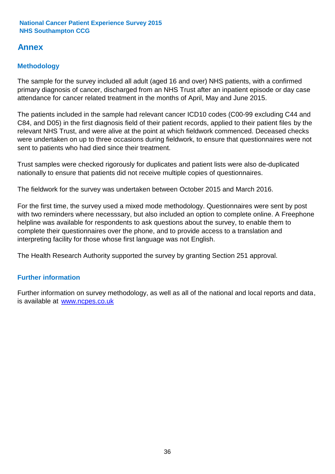## **Annex**

## **Methodology**

The sample for the survey included all adult (aged 16 and over) NHS patients, with a confirmed primary diagnosis of cancer, discharged from an NHS Trust after an inpatient episode or day case attendance for cancer related treatment in the months of April, May and June 2015.

The patients included in the sample had relevant cancer ICD10 codes (C00-99 excluding C44 and C84, and D05) in the first diagnosis field of their patient records, applied to their patient files by the relevant NHS Trust, and were alive at the point at which fieldwork commenced. Deceased checks were undertaken on up to three occasions during fieldwork, to ensure that questionnaires were not sent to patients who had died since their treatment.

Trust samples were checked rigorously for duplicates and patient lists were also de-duplicated nationally to ensure that patients did not receive multiple copies of questionnaires.

The fieldwork for the survey was undertaken between October 2015 and March 2016.

For the first time, the survey used a mixed mode methodology. Questionnaires were sent by post with two reminders where necesssary, but also included an option to complete online. A Freephone helpline was available for respondents to ask questions about the survey, to enable them to complete their questionnaires over the phone, and to provide access to a translation and interpreting facility for those whose first language was not English.

The Health Research Authority supported the survey by granting Section 251 approval.

## **Further information**

Further information on survey methodology, as well as all of the national and local reports and data, is available at www.ncpes.co.uk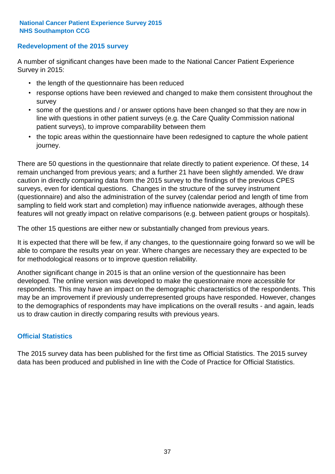## **Redevelopment of the 2015 survey**

A number of significant changes have been made to the National Cancer Patient Experience Survey in 2015:

- the length of the questionnaire has been reduced
- response options have been reviewed and changed to make them consistent throughout the survey
- some of the questions and / or answer options have been changed so that they are now in line with questions in other patient surveys (e.g. the Care Quality Commission national patient surveys), to improve comparability between them
- the topic areas within the questionnaire have been redesigned to capture the whole patient journey.

There are 50 questions in the questionnaire that relate directly to patient experience. Of these, 14 remain unchanged from previous years; and a further 21 have been slightly amended. We draw caution in directly comparing data from the 2015 survey to the findings of the previous CPES surveys, even for identical questions. Changes in the structure of the survey instrument (questionnaire) and also the administration of the survey (calendar period and length of time from sampling to field work start and completion) may influence nationwide averages, although these features will not greatly impact on relative comparisons (e.g. between patient groups or hospitals).

The other 15 questions are either new or substantially changed from previous years.

It is expected that there will be few, if any changes, to the questionnaire going forward so we will be able to compare the results year on year. Where changes are necessary they are expected to be for methodological reasons or to improve question reliability.

Another significant change in 2015 is that an online version of the questionnaire has been developed. The online version was developed to make the questionnaire more accessible for respondents. This may have an impact on the demographic characteristics of the respondents. This may be an improvement if previously underrepresented groups have responded. However, changes to the demographics of respondents may have implications on the overall results - and again, leads us to draw caution in directly comparing results with previous years.

## **Official Statistics**

The 2015 survey data has been published for the first time as Official Statistics. The 2015 survey data has been produced and published in line with the Code of Practice for Official Statistics.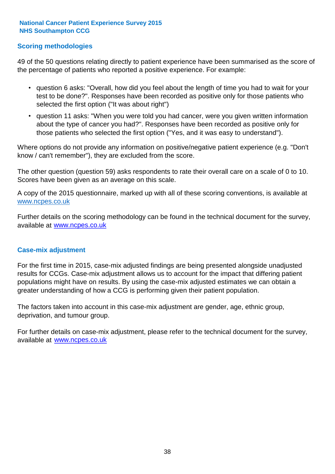## **Scoring methodologies**

49 of the 50 questions relating directly to patient experience have been summarised as the score of the percentage of patients who reported a positive experience. For example:

- question 6 asks: "Overall, how did you feel about the length of time you had to wait for your test to be done?". Responses have been recorded as positive only for those patients who selected the first option ("It was about right")
- question 11 asks: "When you were told you had cancer, were you given written information about the type of cancer you had?". Responses have been recorded as positive only for those patients who selected the first option ("Yes, and it was easy to understand").

Where options do not provide any information on positive/negative patient experience (e.g. "Don't know / can't remember"), they are excluded from the score.

The other question (question 59) asks respondents to rate their overall care on a scale of 0 to 10. Scores have been given as an average on this scale.

A copy of the 2015 questionnaire, marked up with all of these scoring conventions, is available at www.ncpes.co.uk

Further details on the scoring methodology can be found in the technical document for the survey, available at <u>www.ncpes.co.uk</u>

### **Case-mix adjustment**

For the first time in 2015, case-mix adjusted findings are being presented alongside unadjusted results for CCGs. Case-mix adjustment allows us to account for the impact that differing patient populations might have on results. By using the case-mix adjusted estimates we can obtain a greater understanding of how a CCG is performing given their patient population.

The factors taken into account in this case-mix adjustment are gender, age, ethnic group, deprivation, and tumour group.

For further details on case-mix adjustment, please refer to the technical document for the survey, available at www.ncpes.co.uk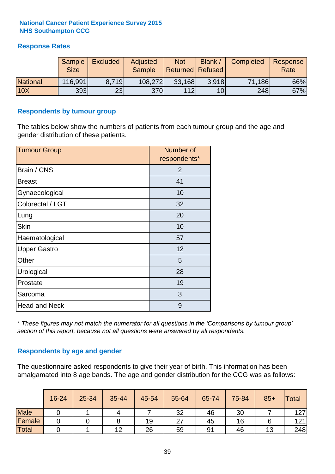## **Response Rates**

|                 | <b>Sample</b><br><b>Size</b> | <b>Excluded</b> | Adjusted<br><b>Sample</b> | <b>Not</b><br><b>Returned Refused</b> | <b>Blank</b>    | <b>Completed</b> | Response<br>Rate |
|-----------------|------------------------------|-----------------|---------------------------|---------------------------------------|-----------------|------------------|------------------|
| <b>National</b> | 116,991                      | 8.719           | 108,272                   | 33,168                                | 3.918           | 71,186           | 66%              |
| <b>10X</b>      | 393                          | 23              | <b>370</b>                | 112                                   | 10 <sub>l</sub> | 248              | 67%              |

### **Respondents by tumour group**

The tables below show the numbers of patients from each tumour group and the age and gender distribution of these patients.

| <b>Tumour Group</b>  | Number of<br>respondents* |
|----------------------|---------------------------|
| Brain / CNS          | $\overline{2}$            |
| <b>Breast</b>        | 41                        |
| Gynaecological       | 10                        |
| Colorectal / LGT     | 32                        |
| Lung                 | 20                        |
| <b>Skin</b>          | 10                        |
| Haematological       | 57                        |
| <b>Upper Gastro</b>  | 12                        |
| Other                | 5                         |
| Urological           | 28                        |
| Prostate             | 19                        |
| Sarcoma              | 3                         |
| <b>Head and Neck</b> | 9                         |

*\* These figures may not match the numerator for all questions in the 'Comparisons by tumour group' section of this report, because not all questions were answered by all respondents.*

## **Respondents by age and gender**

The questionnaire asked respondents to give their year of birth. This information has been amalgamated into 8 age bands. The age and gender distribution for the CCG was as follows:

|        | 16-24 | 25-34 | 35-44 | 45-54 | 55-64 | 65-74 | 75-84 | $85+$ | <b>Total</b> |
|--------|-------|-------|-------|-------|-------|-------|-------|-------|--------------|
| Male   |       |       |       |       | 32    | 46    | 30    |       | 127          |
| Female |       |       |       | 19    | 27    | 45    | 16    |       | 121          |
| Total  |       |       | 12    | 26    | 59    | 91    | 46    | 13    | 248          |